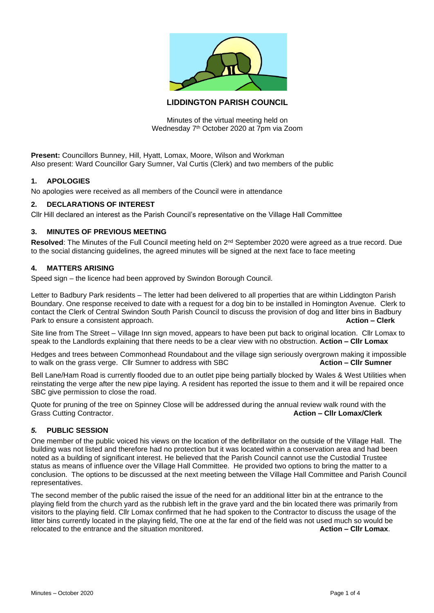

# **LIDDINGTON PARISH COUNCIL**

Minutes of the virtual meeting held on Wednesday 7<sup>th</sup> October 2020 at 7pm via Zoom

**Present:** Councillors Bunney, Hill, Hyatt, Lomax, Moore, Wilson and Workman Also present: Ward Councillor Gary Sumner, Val Curtis (Clerk) and two members of the public

## **1. APOLOGIES**

No apologies were received as all members of the Council were in attendance

## **2. DECLARATIONS OF INTEREST**

Cllr Hill declared an interest as the Parish Council's representative on the Village Hall Committee

#### **3. MINUTES OF PREVIOUS MEETING**

Resolved: The Minutes of the Full Council meeting held on 2<sup>nd</sup> September 2020 were agreed as a true record. Due to the social distancing guidelines, the agreed minutes will be signed at the next face to face meeting

### **4. MATTERS ARISING**

Speed sign – the licence had been approved by Swindon Borough Council.

Letter to Badbury Park residents – The letter had been delivered to all properties that are within Liddington Parish Boundary. One response received to date with a request for a dog bin to be installed in Homington Avenue. Clerk to contact the Clerk of Central Swindon South Parish Council to discuss the provision of dog and litter bins in Badbury Park to ensure a consistent approach. **Action – Clerk**

Site line from The Street – Village Inn sign moved, appears to have been put back to original location. Cllr Lomax to speak to the Landlords explaining that there needs to be a clear view with no obstruction. **Action – Cllr Lomax**

Hedges and trees between Commonhead Roundabout and the village sign seriously overgrown making it impossible<br>to walk on the grass verge. Cllr Sumner to address with SBC<br>**Action – Cllr Sumner** to walk on the grass verge. Cllr Sumner to address with SBC

Bell Lane/Ham Road is currently flooded due to an outlet pipe being partially blocked by Wales & West Utilities when reinstating the verge after the new pipe laying. A resident has reported the issue to them and it will be repaired once SBC give permission to close the road.

Quote for pruning of the tree on Spinney Close will be addressed during the annual review walk round with the Grass Cutting Contractor. **Action – Cllr Lomax/Clerk Action – Cllr Lomax/Clerk** 

#### *5.* **PUBLIC SESSION**

One member of the public voiced his views on the location of the defibrillator on the outside of the Village Hall. The building was not listed and therefore had no protection but it was located within a conservation area and had been noted as a building of significant interest. He believed that the Parish Council cannot use the Custodial Trustee status as means of influence over the Village Hall Committee. He provided two options to bring the matter to a conclusion. The options to be discussed at the next meeting between the Village Hall Committee and Parish Council representatives.

The second member of the public raised the issue of the need for an additional litter bin at the entrance to the playing field from the church yard as the rubbish left in the grave yard and the bin located there was primarily from visitors to the playing field. Cllr Lomax confirmed that he had spoken to the Contractor to discuss the usage of the litter bins currently located in the playing field, The one at the far end of the field was not used much so would be relocated to the entrance and the situation monitored. **Action – Cllr Lomax**.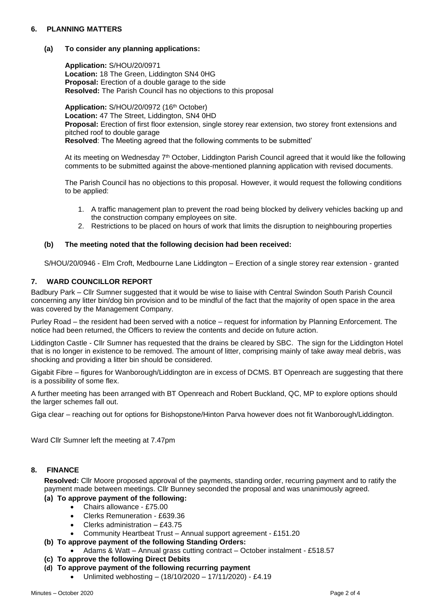## **6. PLANNING MATTERS**

## **(a) To consider any planning applications:**

**Application:** S/HOU/20/0971 **Location:** 18 The Green, Liddington SN4 0HG **Proposal:** Erection of a double garage to the side **Resolved:** The Parish Council has no objections to this proposal

**Application:** S/HOU/20/0972 (16th October) **Location:** 47 The Street, Liddington, SN4 0HD **Proposal:** Erection of first floor extension, single storey rear extension, two storey front extensions and pitched roof to double garage **Resolved**: The Meeting agreed that the following comments to be submitted'

At its meeting on Wednesday 7<sup>th</sup> October, Liddington Parish Council agreed that it would like the following comments to be submitted against the above-mentioned planning application with revised documents.

The Parish Council has no objections to this proposal. However, it would request the following conditions to be applied:

- 1. A traffic management plan to prevent the road being blocked by delivery vehicles backing up and the construction company employees on site.
- 2. Restrictions to be placed on hours of work that limits the disruption to neighbouring properties

## **(b) The meeting noted that the following decision had been received:**

S/HOU/20/0946 - Elm Croft, Medbourne Lane Liddington – Erection of a single storey rear extension - granted

## **7. WARD COUNCILLOR REPORT**

Badbury Park – Cllr Sumner suggested that it would be wise to liaise with Central Swindon South Parish Council concerning any litter bin/dog bin provision and to be mindful of the fact that the majority of open space in the area was covered by the Management Company.

Purley Road – the resident had been served with a notice – request for information by Planning Enforcement. The notice had been returned, the Officers to review the contents and decide on future action.

Liddington Castle - Cllr Sumner has requested that the drains be cleared by SBC. The sign for the Liddington Hotel that is no longer in existence to be removed. The amount of litter, comprising mainly of take away meal debris, was shocking and providing a litter bin should be considered.

Gigabit Fibre – figures for Wanborough/Liddington are in excess of DCMS. BT Openreach are suggesting that there is a possibility of some flex.

A further meeting has been arranged with BT Openreach and Robert Buckland, QC, MP to explore options should the larger schemes fall out.

Giga clear – reaching out for options for Bishopstone/Hinton Parva however does not fit Wanborough/Liddington.

Ward Cllr Sumner left the meeting at 7.47pm

#### **8. FINANCE**

**Resolved:** Cllr Moore proposed approval of the payments, standing order, recurring payment and to ratify the payment made between meetings. Cllr Bunney seconded the proposal and was unanimously agreed.

- **(a) To approve payment of the following:**
	- Chairs allowance £75.00
	- Clerks Remuneration £639.36
	- Clerks administration £43.75
	- Community Heartbeat Trust Annual support agreement £151.20
- **(b) To approve payment of the following Standing Orders:**
	- Adams & Watt Annual grass cutting contract October instalment £518.57
- **(c) To approve the following Direct Debits**
- **(d) To approve payment of the following recurring payment**
	- Unlimited webhosting (18/10/2020 17/11/2020) £4.19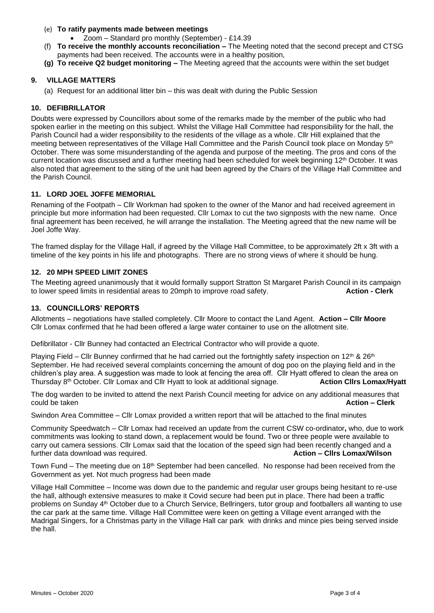## (e) **To ratify payments made between meetings**

- Zoom Standard pro monthly (September) £14.39
- (f) **To receive the monthly accounts reconciliation –** The Meeting noted that the second precept and CTSG payments had been received. The accounts were in a healthy position,
- **(g) To receive Q2 budget monitoring –** The Meeting agreed that the accounts were within the set budget

## **9. VILLAGE MATTERS**

(a) Request for an additional litter bin – this was dealt with during the Public Session

## **10. DEFIBRILLATOR**

Doubts were expressed by Councillors about some of the remarks made by the member of the public who had spoken earlier in the meeting on this subject. Whilst the Village Hall Committee had responsibility for the hall, the Parish Council had a wider responsibility to the residents of the village as a whole. Cllr Hill explained that the meeting between representatives of the Village Hall Committee and the Parish Council took place on Monday 5th October. There was some misunderstanding of the agenda and purpose of the meeting. The pros and cons of the current location was discussed and a further meeting had been scheduled for week beginning 12<sup>th</sup> October. It was also noted that agreement to the siting of the unit had been agreed by the Chairs of the Village Hall Committee and the Parish Council.

## **11. LORD JOEL JOFFE MEMORIAL**

Renaming of the Footpath – Cllr Workman had spoken to the owner of the Manor and had received agreement in principle but more information had been requested. Cllr Lomax to cut the two signposts with the new name. Once final agreement has been received, he will arrange the installation. The Meeting agreed that the new name will be Joel Joffe Way.

The framed display for the Village Hall, if agreed by the Village Hall Committee, to be approximately 2ft x 3ft with a timeline of the key points in his life and photographs. There are no strong views of where it should be hung.

## **12. 20 MPH SPEED LIMIT ZONES**

The Meeting agreed unanimously that it would formally support Stratton St Margaret Parish Council in its campaign to lower speed limits in residential areas to 20mph to improve road safety. **Action - Clerk** to lower speed limits in residential areas to 20mph to improve road safety.

#### **13. COUNCILLORS' REPORTS**

Allotments – negotiations have stalled completely. Cllr Moore to contact the Land Agent. **Action – Cllr Moore** Cllr Lomax confirmed that he had been offered a large water container to use on the allotment site.

Defibrillator - Cllr Bunney had contacted an Electrical Contractor who will provide a quote.

Playing Field – Cllr Bunney confirmed that he had carried out the fortnightly safety inspection on 12<sup>th</sup> & 26<sup>th</sup> September. He had received several complaints concerning the amount of dog poo on the playing field and in the children's play area. A suggestion was made to look at fencing the area off. Cllr Hyatt offered to clean the area on Thursday 8th October. Cllr Lomax and Cllr Hyatt to look at additional signage. **Action Cllrs Lomax/Hyatt**

The dog warden to be invited to attend the next Parish Council meeting for advice on any additional measures that **Could be taken Action – Clerk Action – Clerk Action – Clerk** 

Swindon Area Committee – Cllr Lomax provided a written report that will be attached to the final minutes

Community Speedwatch – Cllr Lomax had received an update from the current CSW co-ordinator**,** who, due to work commitments was looking to stand down, a replacement would be found. Two or three people were available to carry out camera sessions. Cllr Lomax said that the location of the speed sign had been recently changed and a further data download was required. **Action – Cllrs Lomax/Wilson**

Town Fund – The meeting due on 18<sup>th</sup> September had been cancelled. No response had been received from the Government as yet. Not much progress had been made

Village Hall Committee – Income was down due to the pandemic and regular user groups being hesitant to re-use the hall, although extensive measures to make it Covid secure had been put in place. There had been a traffic problems on Sunday 4<sup>th</sup> October due to a Church Service, Bellringers, tutor group and footballers all wanting to use the car park at the same time. Village Hall Committee were keen on getting a Village event arranged with the Madrigal Singers, for a Christmas party in the Village Hall car park with drinks and mince pies being served inside the hall.